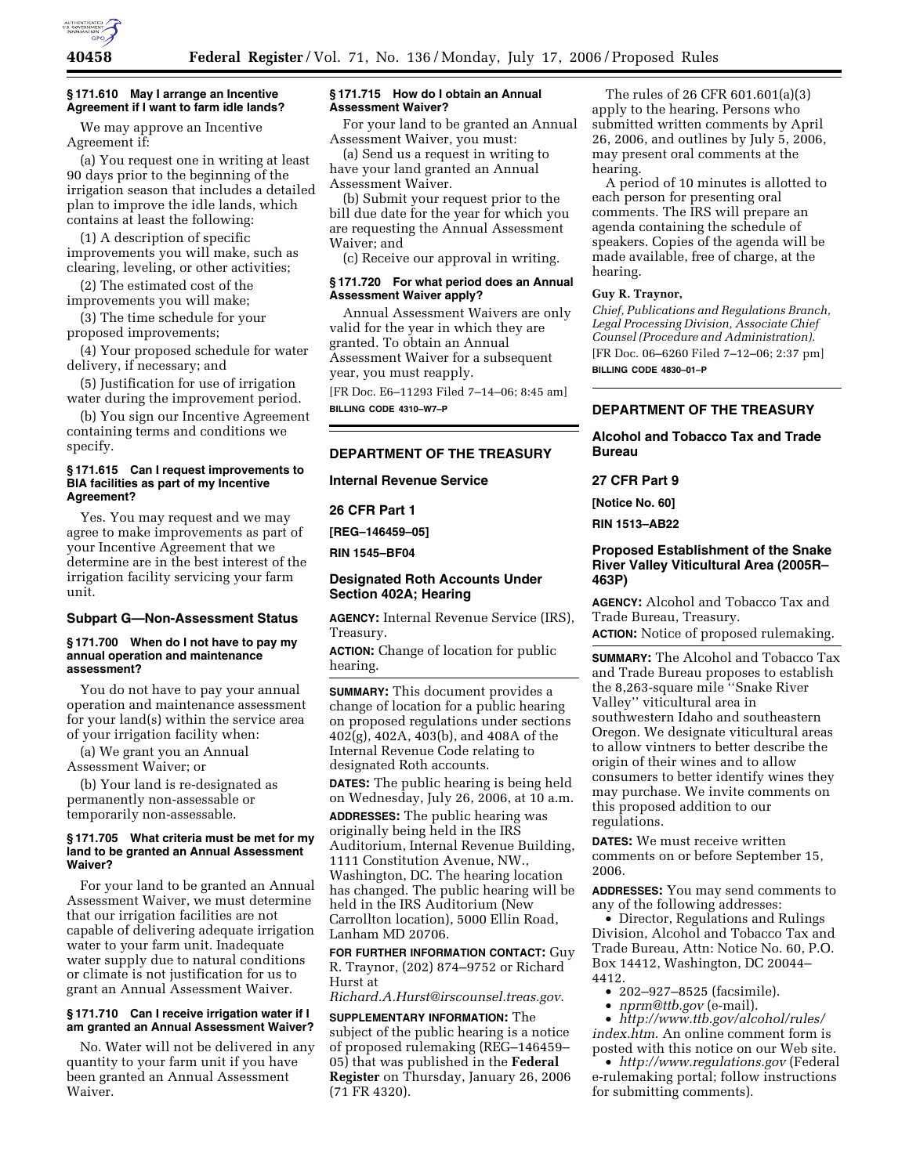

#### **§ 171.610 May I arrange an Incentive Agreement if I want to farm idle lands?**

We may approve an Incentive Agreement if:

(a) You request one in writing at least 90 days prior to the beginning of the irrigation season that includes a detailed plan to improve the idle lands, which contains at least the following:

(1) A description of specific improvements you will make, such as clearing, leveling, or other activities;

(2) The estimated cost of the improvements you will make;

(3) The time schedule for your proposed improvements;

(4) Your proposed schedule for water delivery, if necessary; and

(5) Justification for use of irrigation water during the improvement period.

(b) You sign our Incentive Agreement containing terms and conditions we specify.

### **§ 171.615 Can I request improvements to BIA facilities as part of my Incentive Agreement?**

Yes. You may request and we may agree to make improvements as part of your Incentive Agreement that we determine are in the best interest of the irrigation facility servicing your farm unit.

## **Subpart G—Non-Assessment Status**

### **§ 171.700 When do I not have to pay my annual operation and maintenance assessment?**

You do not have to pay your annual operation and maintenance assessment for your land(s) within the service area of your irrigation facility when:

(a) We grant you an Annual Assessment Waiver; or

(b) Your land is re-designated as permanently non-assessable or temporarily non-assessable.

#### **§ 171.705 What criteria must be met for my land to be granted an Annual Assessment Waiver?**

For your land to be granted an Annual Assessment Waiver, we must determine that our irrigation facilities are not capable of delivering adequate irrigation water to your farm unit. Inadequate water supply due to natural conditions or climate is not justification for us to grant an Annual Assessment Waiver.

### **§ 171.710 Can I receive irrigation water if I am granted an Annual Assessment Waiver?**

No. Water will not be delivered in any quantity to your farm unit if you have been granted an Annual Assessment Waiver.

### **§ 171.715 How do I obtain an Annual Assessment Waiver?**

For your land to be granted an Annual Assessment Waiver, you must:

(a) Send us a request in writing to have your land granted an Annual Assessment Waiver.

(b) Submit your request prior to the bill due date for the year for which you are requesting the Annual Assessment Waiver; and

(c) Receive our approval in writing.

### **§ 171.720 For what period does an Annual Assessment Waiver apply?**

Annual Assessment Waivers are only valid for the year in which they are granted. To obtain an Annual Assessment Waiver for a subsequent year, you must reapply.

[FR Doc. E6–11293 Filed 7–14–06; 8:45 am] **BILLING CODE 4310–W7–P** 

## **DEPARTMENT OF THE TREASURY**

### **Internal Revenue Service**

**26 CFR Part 1** 

**[REG–146459–05]** 

**RIN 1545–BF04** 

## **Designated Roth Accounts Under Section 402A; Hearing**

**AGENCY:** Internal Revenue Service (IRS), Treasury.

**ACTION:** Change of location for public hearing.

**SUMMARY:** This document provides a change of location for a public hearing on proposed regulations under sections 402(g), 402A, 403(b), and 408A of the Internal Revenue Code relating to designated Roth accounts.

**DATES:** The public hearing is being held on Wednesday, July 26, 2006, at 10 a.m.

**ADDRESSES:** The public hearing was originally being held in the IRS Auditorium, Internal Revenue Building, 1111 Constitution Avenue, NW., Washington, DC. The hearing location has changed. The public hearing will be held in the IRS Auditorium (New Carrollton location), 5000 Ellin Road, Lanham MD 20706.

**FOR FURTHER INFORMATION CONTACT:** Guy R. Traynor, (202) 874–9752 or Richard Hurst at

*Richard.A.Hurst@irscounsel.treas.gov*.

**SUPPLEMENTARY INFORMATION:** The subject of the public hearing is a notice of proposed rulemaking (REG–146459– 05) that was published in the **Federal Register** on Thursday, January 26, 2006 (71 FR 4320).

The rules of 26 CFR 601.601(a)(3) apply to the hearing. Persons who submitted written comments by April 26, 2006, and outlines by July 5, 2006, may present oral comments at the hearing.

A period of 10 minutes is allotted to each person for presenting oral comments. The IRS will prepare an agenda containing the schedule of speakers. Copies of the agenda will be made available, free of charge, at the hearing.

### **Guy R. Traynor,**

*Chief, Publications and Regulations Branch, Legal Processing Division, Associate Chief Counsel (Procedure and Administration).*  [FR Doc. 06–6260 Filed 7–12–06; 2:37 pm] **BILLING CODE 4830–01–P** 

## **DEPARTMENT OF THE TREASURY**

## **Alcohol and Tobacco Tax and Trade Bureau**

## **27 CFR Part 9**

**[Notice No. 60]** 

**RIN 1513–AB22** 

### **Proposed Establishment of the Snake River Valley Viticultural Area (2005R– 463P)**

**AGENCY:** Alcohol and Tobacco Tax and Trade Bureau, Treasury.

**ACTION:** Notice of proposed rulemaking.

**SUMMARY:** The Alcohol and Tobacco Tax and Trade Bureau proposes to establish the 8,263-square mile ''Snake River Valley'' viticultural area in southwestern Idaho and southeastern Oregon. We designate viticultural areas to allow vintners to better describe the origin of their wines and to allow consumers to better identify wines they may purchase. We invite comments on this proposed addition to our regulations.

**DATES:** We must receive written comments on or before September 15, 2006.

**ADDRESSES:** You may send comments to any of the following addresses:

• Director, Regulations and Rulings Division, Alcohol and Tobacco Tax and Trade Bureau, Attn: Notice No. 60, P.O. Box 14412, Washington, DC 20044– 4412.

- 202–927–8525 (facsimile).
- *nprm@ttb.gov* (e-mail).

• *http://www.ttb.gov/alcohol/rules/ index.htm*. An online comment form is posted with this notice on our Web site.

• *http://www.regulations.gov* (Federal e-rulemaking portal; follow instructions for submitting comments).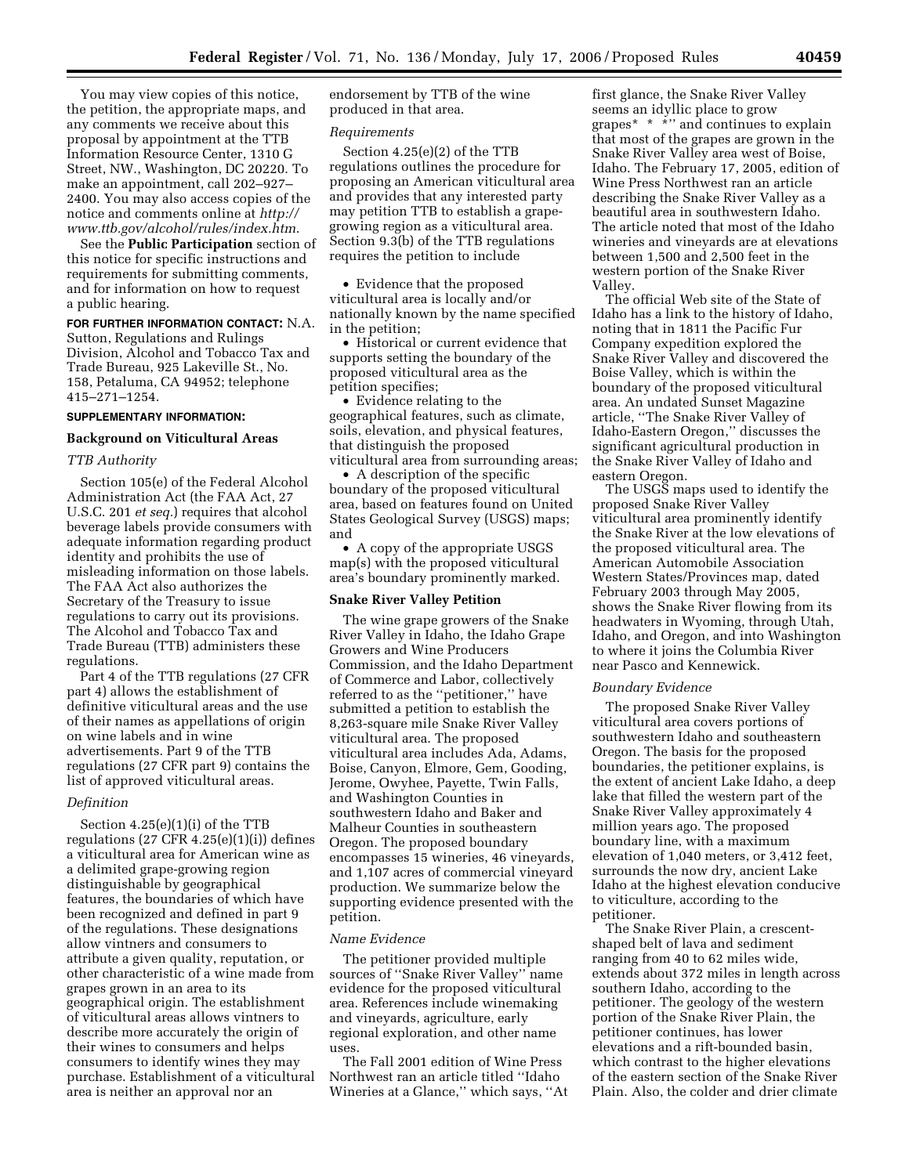You may view copies of this notice, the petition, the appropriate maps, and any comments we receive about this proposal by appointment at the TTB Information Resource Center, 1310 G Street, NW., Washington, DC 20220. To make an appointment, call 202–927– 2400. You may also access copies of the notice and comments online at *http:// www.ttb.gov/alcohol/rules/index.htm*.

See the **Public Participation** section of this notice for specific instructions and requirements for submitting comments, and for information on how to request a public hearing.

## **FOR FURTHER INFORMATION CONTACT:** N.A.

Sutton, Regulations and Rulings Division, Alcohol and Tobacco Tax and Trade Bureau, 925 Lakeville St., No. 158, Petaluma, CA 94952; telephone 415–271–1254.

### **SUPPLEMENTARY INFORMATION:**

### **Background on Viticultural Areas**

#### *TTB Authority*

Section 105(e) of the Federal Alcohol Administration Act (the FAA Act, 27 U.S.C. 201 *et seq.*) requires that alcohol beverage labels provide consumers with adequate information regarding product identity and prohibits the use of misleading information on those labels. The FAA Act also authorizes the Secretary of the Treasury to issue regulations to carry out its provisions. The Alcohol and Tobacco Tax and Trade Bureau (TTB) administers these regulations.

Part 4 of the TTB regulations (27 CFR part 4) allows the establishment of definitive viticultural areas and the use of their names as appellations of origin on wine labels and in wine advertisements. Part 9 of the TTB regulations (27 CFR part 9) contains the list of approved viticultural areas.

#### *Definition*

Section 4.25(e)(1)(i) of the TTB regulations  $(27 \text{ CFR } 4.25(e)(1)(i))$  defines a viticultural area for American wine as a delimited grape-growing region distinguishable by geographical features, the boundaries of which have been recognized and defined in part 9 of the regulations. These designations allow vintners and consumers to attribute a given quality, reputation, or other characteristic of a wine made from grapes grown in an area to its geographical origin. The establishment of viticultural areas allows vintners to describe more accurately the origin of their wines to consumers and helps consumers to identify wines they may purchase. Establishment of a viticultural area is neither an approval nor an

endorsement by TTB of the wine produced in that area.

### *Requirements*

Section 4.25(e)(2) of the TTB regulations outlines the procedure for proposing an American viticultural area and provides that any interested party may petition TTB to establish a grapegrowing region as a viticultural area. Section 9.3(b) of the TTB regulations requires the petition to include

• Evidence that the proposed viticultural area is locally and/or nationally known by the name specified in the petition;

• Historical or current evidence that supports setting the boundary of the proposed viticultural area as the petition specifies;

• Evidence relating to the geographical features, such as climate, soils, elevation, and physical features, that distinguish the proposed viticultural area from surrounding areas;

• A description of the specific boundary of the proposed viticultural area, based on features found on United States Geological Survey (USGS) maps; and

• A copy of the appropriate USGS map(s) with the proposed viticultural area's boundary prominently marked.

### **Snake River Valley Petition**

The wine grape growers of the Snake River Valley in Idaho, the Idaho Grape Growers and Wine Producers Commission, and the Idaho Department of Commerce and Labor, collectively referred to as the ''petitioner,'' have submitted a petition to establish the 8,263-square mile Snake River Valley viticultural area. The proposed viticultural area includes Ada, Adams, Boise, Canyon, Elmore, Gem, Gooding, Jerome, Owyhee, Payette, Twin Falls, and Washington Counties in southwestern Idaho and Baker and Malheur Counties in southeastern Oregon. The proposed boundary encompasses 15 wineries, 46 vineyards, and 1,107 acres of commercial vineyard production. We summarize below the supporting evidence presented with the petition.

#### *Name Evidence*

The petitioner provided multiple sources of ''Snake River Valley'' name evidence for the proposed viticultural area. References include winemaking and vineyards, agriculture, early regional exploration, and other name uses.

The Fall 2001 edition of Wine Press Northwest ran an article titled ''Idaho Wineries at a Glance,'' which says, ''At

first glance, the Snake River Valley seems an idyllic place to grow grapes\* \* \*'' and continues to explain that most of the grapes are grown in the Snake River Valley area west of Boise, Idaho. The February 17, 2005, edition of Wine Press Northwest ran an article describing the Snake River Valley as a beautiful area in southwestern Idaho. The article noted that most of the Idaho wineries and vineyards are at elevations between 1,500 and 2,500 feet in the western portion of the Snake River Valley.

The official Web site of the State of Idaho has a link to the history of Idaho, noting that in 1811 the Pacific Fur Company expedition explored the Snake River Valley and discovered the Boise Valley, which is within the boundary of the proposed viticultural area. An undated Sunset Magazine article, ''The Snake River Valley of Idaho-Eastern Oregon,'' discusses the significant agricultural production in the Snake River Valley of Idaho and eastern Oregon.

The USGS maps used to identify the proposed Snake River Valley viticultural area prominently identify the Snake River at the low elevations of the proposed viticultural area. The American Automobile Association Western States/Provinces map, dated February 2003 through May 2005, shows the Snake River flowing from its headwaters in Wyoming, through Utah, Idaho, and Oregon, and into Washington to where it joins the Columbia River near Pasco and Kennewick.

#### *Boundary Evidence*

The proposed Snake River Valley viticultural area covers portions of southwestern Idaho and southeastern Oregon. The basis for the proposed boundaries, the petitioner explains, is the extent of ancient Lake Idaho, a deep lake that filled the western part of the Snake River Valley approximately 4 million years ago. The proposed boundary line, with a maximum elevation of 1,040 meters, or 3,412 feet, surrounds the now dry, ancient Lake Idaho at the highest elevation conducive to viticulture, according to the petitioner.

The Snake River Plain, a crescentshaped belt of lava and sediment ranging from 40 to 62 miles wide, extends about 372 miles in length across southern Idaho, according to the petitioner. The geology of the western portion of the Snake River Plain, the petitioner continues, has lower elevations and a rift-bounded basin, which contrast to the higher elevations of the eastern section of the Snake River Plain. Also, the colder and drier climate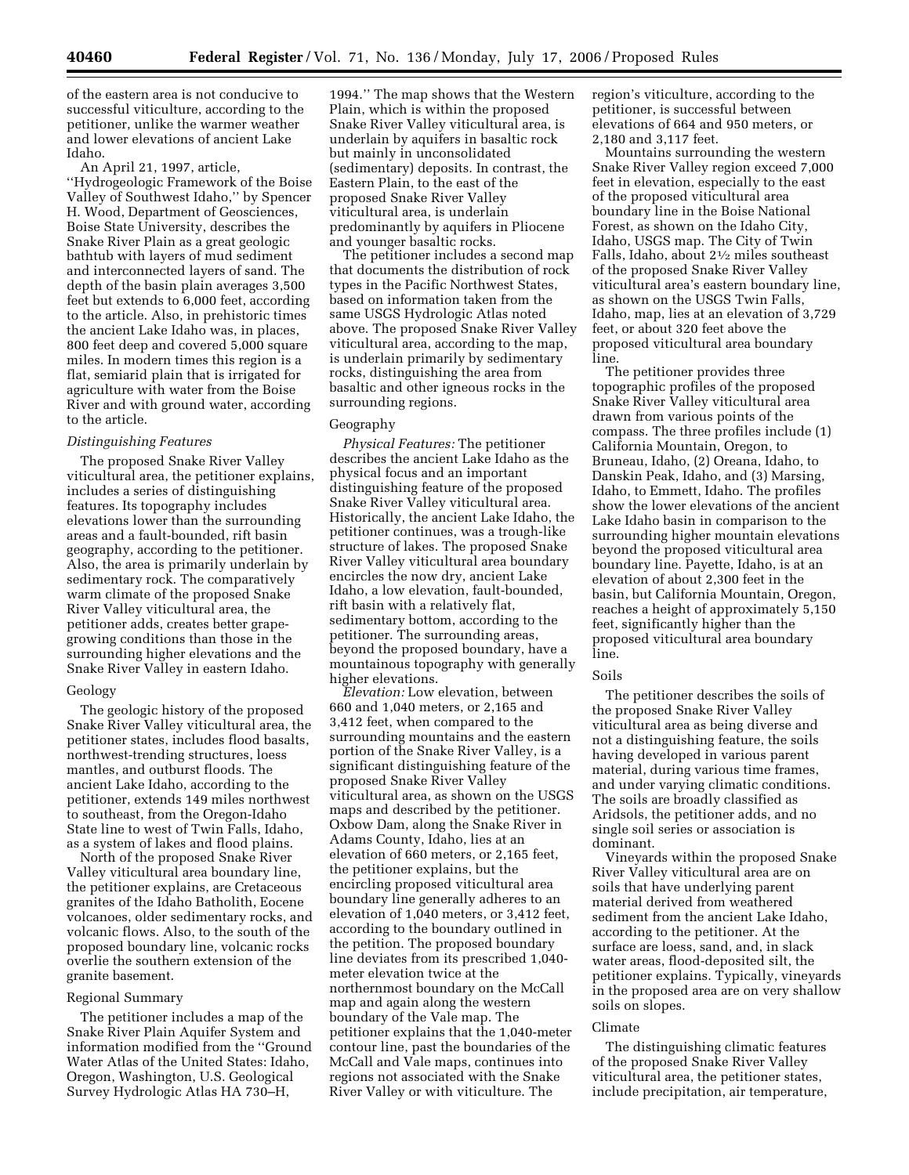of the eastern area is not conducive to successful viticulture, according to the petitioner, unlike the warmer weather and lower elevations of ancient Lake Idaho.

An April 21, 1997, article, ''Hydrogeologic Framework of the Boise Valley of Southwest Idaho,'' by Spencer H. Wood, Department of Geosciences, Boise State University, describes the Snake River Plain as a great geologic bathtub with layers of mud sediment and interconnected layers of sand. The depth of the basin plain averages 3,500 feet but extends to 6,000 feet, according to the article. Also, in prehistoric times the ancient Lake Idaho was, in places, 800 feet deep and covered 5,000 square miles. In modern times this region is a flat, semiarid plain that is irrigated for agriculture with water from the Boise River and with ground water, according to the article.

### *Distinguishing Features*

The proposed Snake River Valley viticultural area, the petitioner explains, includes a series of distinguishing features. Its topography includes elevations lower than the surrounding areas and a fault-bounded, rift basin geography, according to the petitioner. Also, the area is primarily underlain by sedimentary rock. The comparatively warm climate of the proposed Snake River Valley viticultural area, the petitioner adds, creates better grapegrowing conditions than those in the surrounding higher elevations and the Snake River Valley in eastern Idaho.

#### Geology

The geologic history of the proposed Snake River Valley viticultural area, the petitioner states, includes flood basalts, northwest-trending structures, loess mantles, and outburst floods. The ancient Lake Idaho, according to the petitioner, extends 149 miles northwest to southeast, from the Oregon-Idaho State line to west of Twin Falls, Idaho, as a system of lakes and flood plains.

North of the proposed Snake River Valley viticultural area boundary line, the petitioner explains, are Cretaceous granites of the Idaho Batholith, Eocene volcanoes, older sedimentary rocks, and volcanic flows. Also, to the south of the proposed boundary line, volcanic rocks overlie the southern extension of the granite basement.

### Regional Summary

The petitioner includes a map of the Snake River Plain Aquifer System and information modified from the ''Ground Water Atlas of the United States: Idaho, Oregon, Washington, U.S. Geological Survey Hydrologic Atlas HA 730–H,

1994.'' The map shows that the Western Plain, which is within the proposed Snake River Valley viticultural area, is underlain by aquifers in basaltic rock but mainly in unconsolidated (sedimentary) deposits. In contrast, the Eastern Plain, to the east of the proposed Snake River Valley viticultural area, is underlain predominantly by aquifers in Pliocene and younger basaltic rocks.

The petitioner includes a second map that documents the distribution of rock types in the Pacific Northwest States, based on information taken from the same USGS Hydrologic Atlas noted above. The proposed Snake River Valley viticultural area, according to the map, is underlain primarily by sedimentary rocks, distinguishing the area from basaltic and other igneous rocks in the surrounding regions.

#### Geography

*Physical Features:* The petitioner describes the ancient Lake Idaho as the physical focus and an important distinguishing feature of the proposed Snake River Valley viticultural area. Historically, the ancient Lake Idaho, the petitioner continues, was a trough-like structure of lakes. The proposed Snake River Valley viticultural area boundary encircles the now dry, ancient Lake Idaho, a low elevation, fault-bounded, rift basin with a relatively flat, sedimentary bottom, according to the petitioner. The surrounding areas, beyond the proposed boundary, have a mountainous topography with generally higher elevations.

*Elevation:* Low elevation, between 660 and 1,040 meters, or 2,165 and 3,412 feet, when compared to the surrounding mountains and the eastern portion of the Snake River Valley, is a significant distinguishing feature of the proposed Snake River Valley viticultural area, as shown on the USGS maps and described by the petitioner. Oxbow Dam, along the Snake River in Adams County, Idaho, lies at an elevation of 660 meters, or 2,165 feet, the petitioner explains, but the encircling proposed viticultural area boundary line generally adheres to an elevation of 1,040 meters, or 3,412 feet, according to the boundary outlined in the petition. The proposed boundary line deviates from its prescribed 1,040 meter elevation twice at the northernmost boundary on the McCall map and again along the western boundary of the Vale map. The petitioner explains that the 1,040-meter contour line, past the boundaries of the McCall and Vale maps, continues into regions not associated with the Snake River Valley or with viticulture. The

region's viticulture, according to the petitioner, is successful between elevations of 664 and 950 meters, or 2,180 and 3,117 feet.

Mountains surrounding the western Snake River Valley region exceed 7,000 feet in elevation, especially to the east of the proposed viticultural area boundary line in the Boise National Forest, as shown on the Idaho City, Idaho, USGS map. The City of Twin Falls, Idaho, about 21⁄2 miles southeast of the proposed Snake River Valley viticultural area's eastern boundary line, as shown on the USGS Twin Falls, Idaho, map, lies at an elevation of 3,729 feet, or about 320 feet above the proposed viticultural area boundary line.

The petitioner provides three topographic profiles of the proposed Snake River Valley viticultural area drawn from various points of the compass. The three profiles include (1) California Mountain, Oregon, to Bruneau, Idaho, (2) Oreana, Idaho, to Danskin Peak, Idaho, and (3) Marsing, Idaho, to Emmett, Idaho. The profiles show the lower elevations of the ancient Lake Idaho basin in comparison to the surrounding higher mountain elevations beyond the proposed viticultural area boundary line. Payette, Idaho, is at an elevation of about 2,300 feet in the basin, but California Mountain, Oregon, reaches a height of approximately 5,150 feet, significantly higher than the proposed viticultural area boundary line.

#### Soils

The petitioner describes the soils of the proposed Snake River Valley viticultural area as being diverse and not a distinguishing feature, the soils having developed in various parent material, during various time frames, and under varying climatic conditions. The soils are broadly classified as Aridsols, the petitioner adds, and no single soil series or association is dominant.

Vineyards within the proposed Snake River Valley viticultural area are on soils that have underlying parent material derived from weathered sediment from the ancient Lake Idaho, according to the petitioner. At the surface are loess, sand, and, in slack water areas, flood-deposited silt, the petitioner explains. Typically, vineyards in the proposed area are on very shallow soils on slopes.

#### Climate

The distinguishing climatic features of the proposed Snake River Valley viticultural area, the petitioner states, include precipitation, air temperature,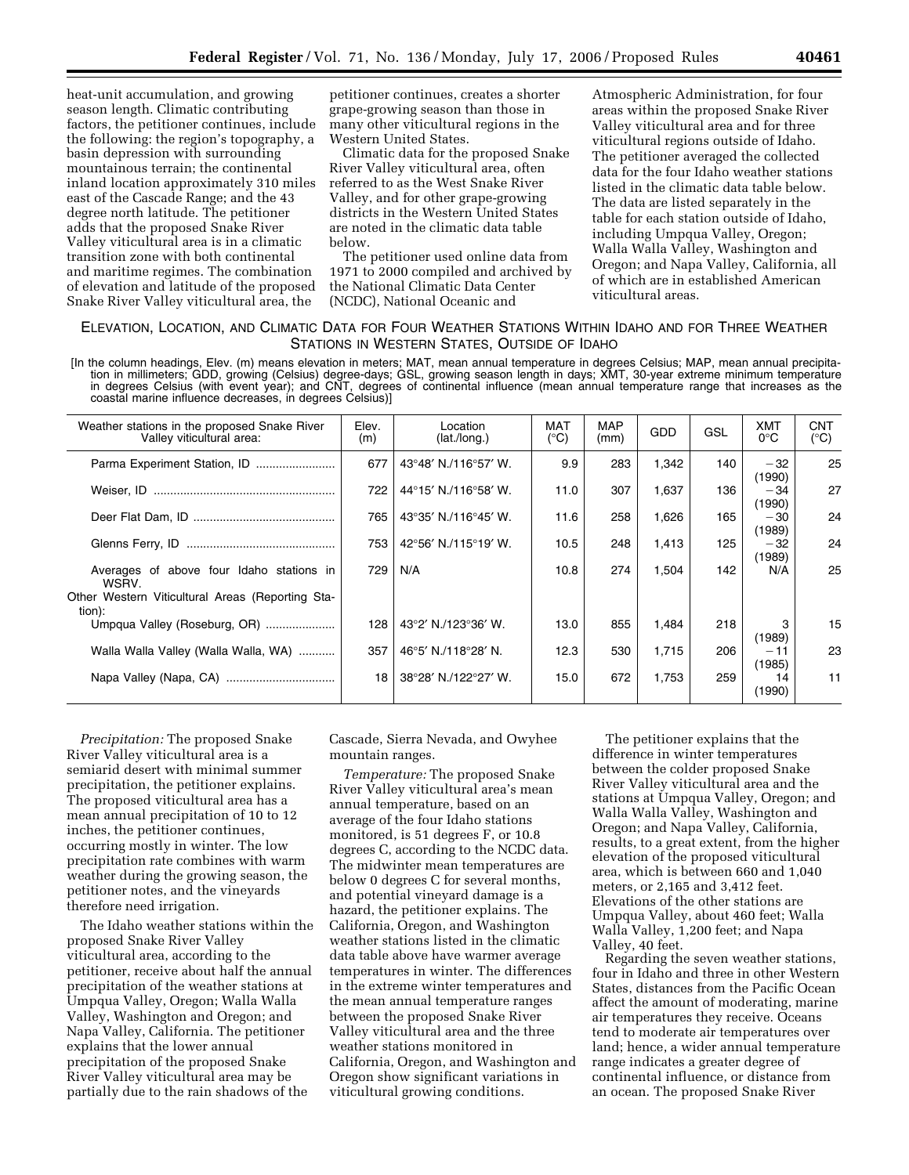heat-unit accumulation, and growing season length. Climatic contributing factors, the petitioner continues, include the following: the region's topography, a basin depression with surrounding mountainous terrain; the continental inland location approximately 310 miles east of the Cascade Range; and the 43 degree north latitude. The petitioner adds that the proposed Snake River Valley viticultural area is in a climatic transition zone with both continental and maritime regimes. The combination of elevation and latitude of the proposed Snake River Valley viticultural area, the

petitioner continues, creates a shorter grape-growing season than those in many other viticultural regions in the Western United States.

Climatic data for the proposed Snake River Valley viticultural area, often referred to as the West Snake River Valley, and for other grape-growing districts in the Western United States are noted in the climatic data table below.

The petitioner used online data from 1971 to 2000 compiled and archived by the National Climatic Data Center (NCDC), National Oceanic and

Atmospheric Administration, for four areas within the proposed Snake River Valley viticultural area and for three viticultural regions outside of Idaho. The petitioner averaged the collected data for the four Idaho weather stations listed in the climatic data table below. The data are listed separately in the table for each station outside of Idaho, including Umpqua Valley, Oregon; Walla Walla Valley, Washington and Oregon; and Napa Valley, California, all of which are in established American viticultural areas.

## ELEVATION, LOCATION, AND CLIMATIC DATA FOR FOUR WEATHER STATIONS WITHIN IDAHO AND FOR THREE WEATHER STATIONS IN WESTERN STATES, OUTSIDE OF IDAHO

[In the column headings, Elev. (m) means elevation in meters; MAT, mean annual temperature in degrees Celsius; MAP, mean annual precipitation in millimeters; GDD, growing (Celsius) degree-days; GSL, growing season length in days; XMT, 30-year extreme minimum temperature in degrees Celsius (with event year); and CNT, degrees of continental influence (mean annual temperature range that increases as the coastal marine influence decreases, in degrees Celsius)]

| Weather stations in the proposed Snake River<br>Valley viticultural area:                                       | Elev.<br>(m) | Location<br>(lat./long.) | <b>MAT</b><br>$(^{\circ}C)$ | <b>MAP</b><br>(mm) | GDD   | GSL | <b>XMT</b><br>$0^{\circ}$ C | <b>CNT</b><br>(°C) |
|-----------------------------------------------------------------------------------------------------------------|--------------|--------------------------|-----------------------------|--------------------|-------|-----|-----------------------------|--------------------|
| Parma Experiment Station, ID                                                                                    | 677          | 43°48' N./116°57' W.     | 9.9                         | 283                | 1,342 | 140 | $-32$<br>(1990)             | 25                 |
|                                                                                                                 | 722          | 44°15' N./116°58' W.     | 11.0                        | 307                | 1.637 | 136 | $-34$<br>(1990)             | 27                 |
|                                                                                                                 | 765          | 43°35' N./116°45' W.     | 11.6                        | 258                | 1,626 | 165 | $-30$<br>(1989)             | 24                 |
|                                                                                                                 | 753          | 42°56' N./115°19' W.     | 10.5                        | 248                | 1,413 | 125 | $-32$<br>(1989)             | 24                 |
| Averages of above four Idaho stations in<br>WSRV.<br>Other Western Viticultural Areas (Reporting Sta-<br>tion): | 729          | N/A                      | 10.8                        | 274                | 1.504 | 142 | N/A                         | 25                 |
| Umpqua Valley (Roseburg, OR)                                                                                    | 128          | 43°2' N./123°36' W.      | 13.0                        | 855                | 1,484 | 218 | 3<br>(1989)                 | 15                 |
| Walla Walla Valley (Walla Walla, WA)                                                                            | 357          | 46°5' N./118°28' N.      | 12.3                        | 530                | 1,715 | 206 | $-11$<br>(1985)             | 23                 |
|                                                                                                                 | 18           | 38°28′ N./122°27′ W.     | 15.0                        | 672                | 1,753 | 259 | 14<br>(1990)                | 11                 |

*Precipitation:* The proposed Snake River Valley viticultural area is a semiarid desert with minimal summer precipitation, the petitioner explains. The proposed viticultural area has a mean annual precipitation of 10 to 12 inches, the petitioner continues, occurring mostly in winter. The low precipitation rate combines with warm weather during the growing season, the petitioner notes, and the vineyards therefore need irrigation.

The Idaho weather stations within the proposed Snake River Valley viticultural area, according to the petitioner, receive about half the annual precipitation of the weather stations at Umpqua Valley, Oregon; Walla Walla Valley, Washington and Oregon; and Napa Valley, California. The petitioner explains that the lower annual precipitation of the proposed Snake River Valley viticultural area may be partially due to the rain shadows of the

Cascade, Sierra Nevada, and Owyhee mountain ranges.

*Temperature:* The proposed Snake River Valley viticultural area's mean annual temperature, based on an average of the four Idaho stations monitored, is 51 degrees F, or 10.8 degrees C, according to the NCDC data. The midwinter mean temperatures are below 0 degrees C for several months, and potential vineyard damage is a hazard, the petitioner explains. The California, Oregon, and Washington weather stations listed in the climatic data table above have warmer average temperatures in winter. The differences in the extreme winter temperatures and the mean annual temperature ranges between the proposed Snake River Valley viticultural area and the three weather stations monitored in California, Oregon, and Washington and Oregon show significant variations in viticultural growing conditions.

The petitioner explains that the difference in winter temperatures between the colder proposed Snake River Valley viticultural area and the stations at Umpqua Valley, Oregon; and Walla Walla Valley, Washington and Oregon; and Napa Valley, California, results, to a great extent, from the higher elevation of the proposed viticultural area, which is between 660 and 1,040 meters, or 2,165 and 3,412 feet. Elevations of the other stations are Umpqua Valley, about 460 feet; Walla Walla Valley, 1,200 feet; and Napa Valley, 40 feet.

Regarding the seven weather stations, four in Idaho and three in other Western States, distances from the Pacific Ocean affect the amount of moderating, marine air temperatures they receive. Oceans tend to moderate air temperatures over land; hence, a wider annual temperature range indicates a greater degree of continental influence, or distance from an ocean. The proposed Snake River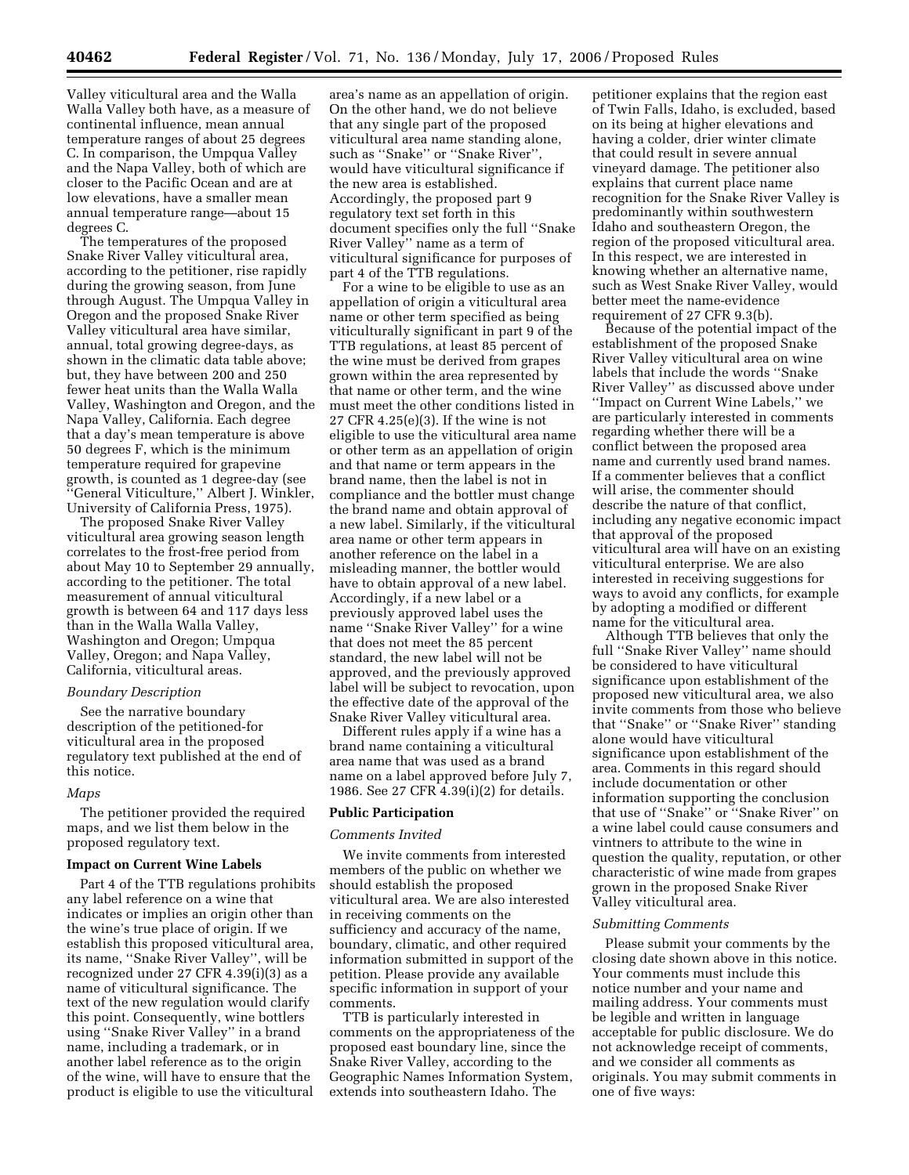Valley viticultural area and the Walla Walla Valley both have, as a measure of continental influence, mean annual temperature ranges of about 25 degrees C. In comparison, the Umpqua Valley and the Napa Valley, both of which are closer to the Pacific Ocean and are at low elevations, have a smaller mean annual temperature range—about 15 degrees C.

The temperatures of the proposed Snake River Valley viticultural area, according to the petitioner, rise rapidly during the growing season, from June through August. The Umpqua Valley in Oregon and the proposed Snake River Valley viticultural area have similar, annual, total growing degree-days, as shown in the climatic data table above; but, they have between 200 and 250 fewer heat units than the Walla Walla Valley, Washington and Oregon, and the Napa Valley, California. Each degree that a day's mean temperature is above 50 degrees F, which is the minimum temperature required for grapevine growth, is counted as 1 degree-day (see ''General Viticulture,'' Albert J. Winkler, University of California Press, 1975).

The proposed Snake River Valley viticultural area growing season length correlates to the frost-free period from about May 10 to September 29 annually, according to the petitioner. The total measurement of annual viticultural growth is between 64 and 117 days less than in the Walla Walla Valley, Washington and Oregon; Umpqua Valley, Oregon; and Napa Valley, California, viticultural areas.

#### *Boundary Description*

See the narrative boundary description of the petitioned-for viticultural area in the proposed regulatory text published at the end of this notice.

#### *Maps*

The petitioner provided the required maps, and we list them below in the proposed regulatory text.

#### **Impact on Current Wine Labels**

Part 4 of the TTB regulations prohibits any label reference on a wine that indicates or implies an origin other than the wine's true place of origin. If we establish this proposed viticultural area, its name, ''Snake River Valley'', will be recognized under 27 CFR 4.39(i)(3) as a name of viticultural significance. The text of the new regulation would clarify this point. Consequently, wine bottlers using ''Snake River Valley'' in a brand name, including a trademark, or in another label reference as to the origin of the wine, will have to ensure that the product is eligible to use the viticultural

area's name as an appellation of origin. On the other hand, we do not believe that any single part of the proposed viticultural area name standing alone, such as ''Snake'' or ''Snake River'', would have viticultural significance if the new area is established. Accordingly, the proposed part 9 regulatory text set forth in this document specifies only the full ''Snake River Valley'' name as a term of viticultural significance for purposes of part 4 of the TTB regulations.

For a wine to be eligible to use as an appellation of origin a viticultural area name or other term specified as being viticulturally significant in part 9 of the TTB regulations, at least 85 percent of the wine must be derived from grapes grown within the area represented by that name or other term, and the wine must meet the other conditions listed in 27 CFR 4.25(e)(3). If the wine is not eligible to use the viticultural area name or other term as an appellation of origin and that name or term appears in the brand name, then the label is not in compliance and the bottler must change the brand name and obtain approval of a new label. Similarly, if the viticultural area name or other term appears in another reference on the label in a misleading manner, the bottler would have to obtain approval of a new label. Accordingly, if a new label or a previously approved label uses the name ''Snake River Valley'' for a wine that does not meet the 85 percent standard, the new label will not be approved, and the previously approved label will be subject to revocation, upon the effective date of the approval of the Snake River Valley viticultural area.

Different rules apply if a wine has a brand name containing a viticultural area name that was used as a brand name on a label approved before July 7, 1986. See 27 CFR 4.39(i)(2) for details.

### **Public Participation**

#### *Comments Invited*

We invite comments from interested members of the public on whether we should establish the proposed viticultural area. We are also interested in receiving comments on the sufficiency and accuracy of the name, boundary, climatic, and other required information submitted in support of the petition. Please provide any available specific information in support of your comments.

TTB is particularly interested in comments on the appropriateness of the proposed east boundary line, since the Snake River Valley, according to the Geographic Names Information System, extends into southeastern Idaho. The

petitioner explains that the region east of Twin Falls, Idaho, is excluded, based on its being at higher elevations and having a colder, drier winter climate that could result in severe annual vineyard damage. The petitioner also explains that current place name recognition for the Snake River Valley is predominantly within southwestern Idaho and southeastern Oregon, the region of the proposed viticultural area. In this respect, we are interested in knowing whether an alternative name, such as West Snake River Valley, would better meet the name-evidence requirement of 27 CFR 9.3(b).

Because of the potential impact of the establishment of the proposed Snake River Valley viticultural area on wine labels that include the words ''Snake River Valley'' as discussed above under ''Impact on Current Wine Labels,'' we are particularly interested in comments regarding whether there will be a conflict between the proposed area name and currently used brand names. If a commenter believes that a conflict will arise, the commenter should describe the nature of that conflict, including any negative economic impact that approval of the proposed viticultural area will have on an existing viticultural enterprise. We are also interested in receiving suggestions for ways to avoid any conflicts, for example by adopting a modified or different name for the viticultural area.

Although TTB believes that only the full ''Snake River Valley'' name should be considered to have viticultural significance upon establishment of the proposed new viticultural area, we also invite comments from those who believe that ''Snake'' or ''Snake River'' standing alone would have viticultural significance upon establishment of the area. Comments in this regard should include documentation or other information supporting the conclusion that use of ''Snake'' or ''Snake River'' on a wine label could cause consumers and vintners to attribute to the wine in question the quality, reputation, or other characteristic of wine made from grapes grown in the proposed Snake River Valley viticultural area.

### *Submitting Comments*

Please submit your comments by the closing date shown above in this notice. Your comments must include this notice number and your name and mailing address. Your comments must be legible and written in language acceptable for public disclosure. We do not acknowledge receipt of comments, and we consider all comments as originals. You may submit comments in one of five ways: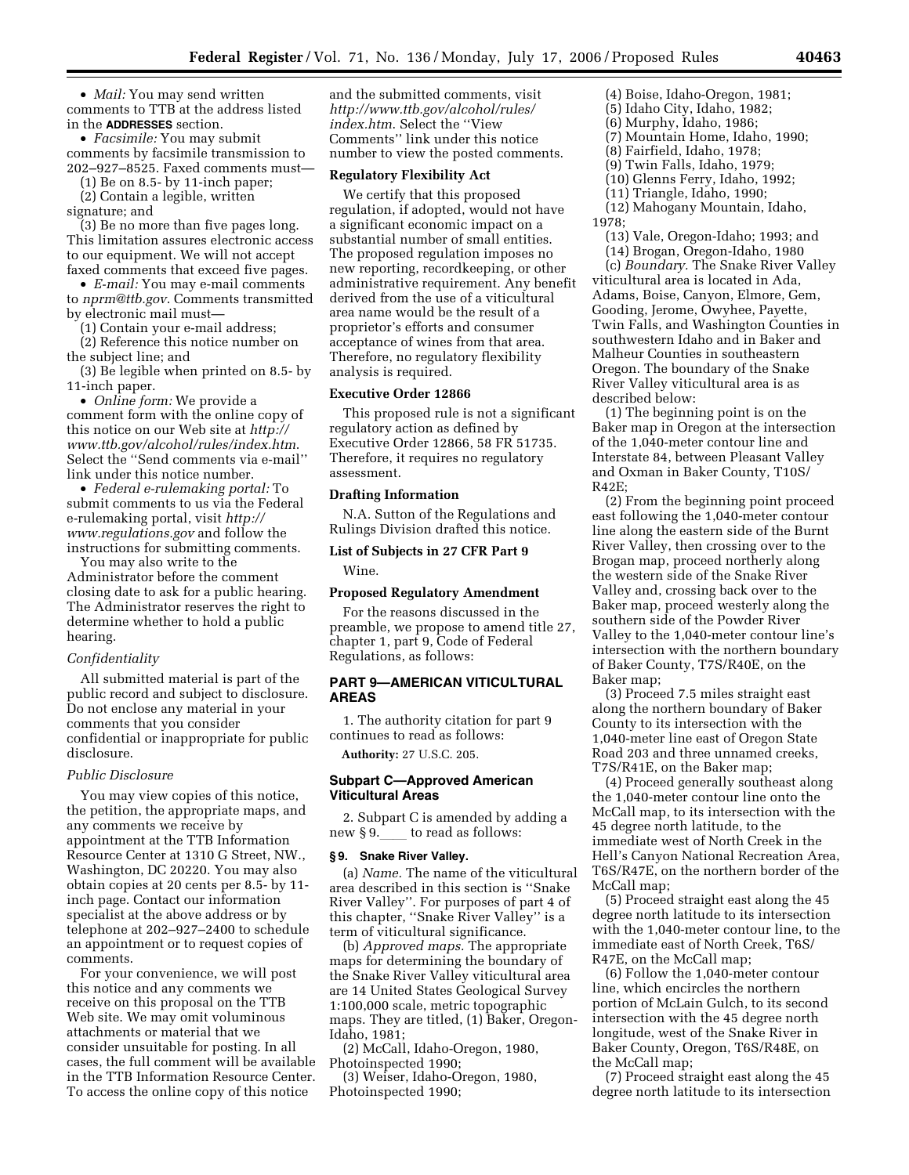• *Mail:* You may send written comments to TTB at the address listed in the **ADDRESSES** section.

• *Facsimile:* You may submit comments by facsimile transmission to 202–927–8525. Faxed comments must—

(1) Be on 8.5- by 11-inch paper;

(2) Contain a legible, written signature; and

(3) Be no more than five pages long. This limitation assures electronic access to our equipment. We will not accept faxed comments that exceed five pages.

• *E-mail:* You may e-mail comments to *nprm@ttb.gov*. Comments transmitted by electronic mail must—

(1) Contain your e-mail address;

(2) Reference this notice number on the subject line; and

(3) Be legible when printed on 8.5- by 11-inch paper.

• *Online form:* We provide a comment form with the online copy of this notice on our Web site at *http:// www.ttb.gov/alcohol/rules/index.htm*. Select the ''Send comments via e-mail'' link under this notice number.

• *Federal e-rulemaking portal:* To submit comments to us via the Federal e-rulemaking portal, visit *http:// www.regulations.gov* and follow the instructions for submitting comments.

You may also write to the Administrator before the comment closing date to ask for a public hearing. The Administrator reserves the right to determine whether to hold a public hearing.

## *Confidentiality*

All submitted material is part of the public record and subject to disclosure. Do not enclose any material in your comments that you consider confidential or inappropriate for public disclosure.

### *Public Disclosure*

You may view copies of this notice, the petition, the appropriate maps, and any comments we receive by appointment at the TTB Information Resource Center at 1310 G Street, NW., Washington, DC 20220. You may also obtain copies at 20 cents per 8.5- by 11 inch page. Contact our information specialist at the above address or by telephone at 202–927–2400 to schedule an appointment or to request copies of comments.

For your convenience, we will post this notice and any comments we receive on this proposal on the TTB Web site. We may omit voluminous attachments or material that we consider unsuitable for posting. In all cases, the full comment will be available in the TTB Information Resource Center. To access the online copy of this notice

and the submitted comments, visit *http://www.ttb.gov/alcohol/rules/ index.htm*. Select the ''View Comments'' link under this notice number to view the posted comments.

#### **Regulatory Flexibility Act**

We certify that this proposed regulation, if adopted, would not have a significant economic impact on a substantial number of small entities. The proposed regulation imposes no new reporting, recordkeeping, or other administrative requirement. Any benefit derived from the use of a viticultural area name would be the result of a proprietor's efforts and consumer acceptance of wines from that area. Therefore, no regulatory flexibility analysis is required.

### **Executive Order 12866**

This proposed rule is not a significant regulatory action as defined by Executive Order 12866, 58 FR 51735. Therefore, it requires no regulatory assessment.

#### **Drafting Information**

N.A. Sutton of the Regulations and Rulings Division drafted this notice.

### **List of Subjects in 27 CFR Part 9**

Wine.

### **Proposed Regulatory Amendment**

For the reasons discussed in the preamble, we propose to amend title 27, chapter 1, part 9, Code of Federal Regulations, as follows:

## **PART 9—AMERICAN VITICULTURAL AREAS**

1. The authority citation for part 9 continues to read as follows:

**Authority:** 27 U.S.C. 205.

## **Subpart C—Approved American Viticultural Areas**

2. Subpart C is amended by adding a new  $§ 9.$  to read as follows:

### **§ 9. Snake River Valley.**

(a) *Name.* The name of the viticultural area described in this section is ''Snake River Valley''. For purposes of part 4 of this chapter, ''Snake River Valley'' is a term of viticultural significance.

(b) *Approved maps.* The appropriate maps for determining the boundary of the Snake River Valley viticultural area are 14 United States Geological Survey 1:100,000 scale, metric topographic maps. They are titled, (1) Baker, Oregon-Idaho, 1981;

(2) McCall, Idaho-Oregon, 1980, Photoinspected 1990;

(3) Weiser, Idaho-Oregon, 1980, Photoinspected 1990;

(4) Boise, Idaho-Oregon, 1981;

- (5) Idaho City, Idaho, 1982;
- (6) Murphy, Idaho, 1986; (7) Mountain Home, Idaho, 1990;
- (8) Fairfield, Idaho, 1978;
- (9) Twin Falls, Idaho, 1979;
- (10) Glenns Ferry, Idaho, 1992;

(11) Triangle, Idaho, 1990;

(12) Mahogany Mountain, Idaho, 1978;

(13) Vale, Oregon-Idaho; 1993; and

(14) Brogan, Oregon-Idaho, 1980

(c) *Boundary.* The Snake River Valley viticultural area is located in Ada, Adams, Boise, Canyon, Elmore, Gem, Gooding, Jerome, Owyhee, Payette, Twin Falls, and Washington Counties in southwestern Idaho and in Baker and Malheur Counties in southeastern Oregon. The boundary of the Snake River Valley viticultural area is as described below:

(1) The beginning point is on the Baker map in Oregon at the intersection of the 1,040-meter contour line and Interstate 84, between Pleasant Valley and Oxman in Baker County, T10S/ R42E;

(2) From the beginning point proceed east following the 1,040-meter contour line along the eastern side of the Burnt River Valley, then crossing over to the Brogan map, proceed northerly along the western side of the Snake River Valley and, crossing back over to the Baker map, proceed westerly along the southern side of the Powder River Valley to the 1,040-meter contour line's intersection with the northern boundary of Baker County, T7S/R40E, on the Baker map;

(3) Proceed 7.5 miles straight east along the northern boundary of Baker County to its intersection with the 1,040-meter line east of Oregon State Road 203 and three unnamed creeks, T7S/R41E, on the Baker map;

(4) Proceed generally southeast along the 1,040-meter contour line onto the McCall map, to its intersection with the 45 degree north latitude, to the immediate west of North Creek in the Hell's Canyon National Recreation Area, T6S/R47E, on the northern border of the McCall map;

(5) Proceed straight east along the 45 degree north latitude to its intersection with the 1,040-meter contour line, to the immediate east of North Creek, T6S/ R47E, on the McCall map;

(6) Follow the 1,040-meter contour line, which encircles the northern portion of McLain Gulch, to its second intersection with the 45 degree north longitude, west of the Snake River in Baker County, Oregon, T6S/R48E, on the McCall map;

(7) Proceed straight east along the 45 degree north latitude to its intersection